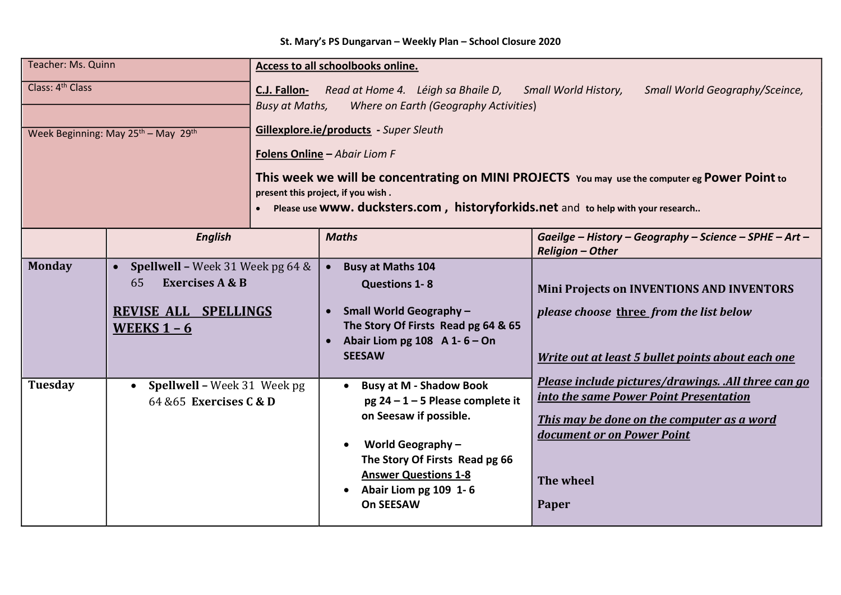| <b>Teacher: Ms. Quinn</b>                               |                                                                                                                           | <b>Access to all schoolbooks online.</b>                                                                                                                                                                                                                                                                                                                                                                                                                                                           |                                                                                                                                                                                                                                                |                                                                                                                                                                                                 |  |
|---------------------------------------------------------|---------------------------------------------------------------------------------------------------------------------------|----------------------------------------------------------------------------------------------------------------------------------------------------------------------------------------------------------------------------------------------------------------------------------------------------------------------------------------------------------------------------------------------------------------------------------------------------------------------------------------------------|------------------------------------------------------------------------------------------------------------------------------------------------------------------------------------------------------------------------------------------------|-------------------------------------------------------------------------------------------------------------------------------------------------------------------------------------------------|--|
| Class: 4th Class<br>Week Beginning: May 25th - May 29th |                                                                                                                           | Read at Home 4. Léigh sa Bhaile D,<br>C.J. Fallon-<br><b>Small World History,</b><br>Small World Geography/Sceince,<br><b>Busy at Maths,</b><br>Where on Earth (Geography Activities)<br>Gillexplore.ie/products - Super Sleuth<br><b>Folens Online - Abair Liom F</b><br>This week we will be concentrating on MINI PROJECTS You may use the computer eg Power Point to<br>present this project, if you wish.<br>Please use WWW. ducksters.com, historyforkids.net and to help with your research |                                                                                                                                                                                                                                                |                                                                                                                                                                                                 |  |
|                                                         | <b>English</b>                                                                                                            |                                                                                                                                                                                                                                                                                                                                                                                                                                                                                                    | <b>Maths</b>                                                                                                                                                                                                                                   | Gaeilge - History - Geography - Science - SPHE - Art -<br><b>Religion - Other</b>                                                                                                               |  |
| <b>Monday</b>                                           | • Spellwell – Week 31 Week pg 64 $\&$<br><b>Exercises A &amp; B</b><br>65<br><b>REVISE ALL SPELLINGS</b><br>WEEKS $1 - 6$ |                                                                                                                                                                                                                                                                                                                                                                                                                                                                                                    | <b>Busy at Maths 104</b><br><b>Questions 1-8</b><br><b>Small World Geography-</b><br>$\bullet$<br>The Story Of Firsts Read pg 64 & 65<br>Abair Liom pg 108 $A 1 - 6 - On$<br>$\bullet$<br><b>SEESAW</b>                                        | <b>Mini Projects on INVENTIONS AND INVENTORS</b><br>please choose three from the list below<br>Write out at least 5 bullet points about each one                                                |  |
| <b>Tuesday</b>                                          | <b>Spellwell - Week 31 Week pg</b><br>$\bullet$<br>64 & 65 Exercises C & D                                                |                                                                                                                                                                                                                                                                                                                                                                                                                                                                                                    | <b>Busy at M - Shadow Book</b><br>$\bullet$<br>pg 24 - 1 - 5 Please complete it<br>on Seesaw if possible.<br>World Geography $-$<br>The Story Of Firsts Read pg 66<br><b>Answer Questions 1-8</b><br>Abair Liom pg 109 1-6<br><b>On SEESAW</b> | Please include pictures/drawings. .All three can go<br>into the same Power Point Presentation<br>This may be done on the computer as a word<br>document or on Power Point<br>The wheel<br>Paper |  |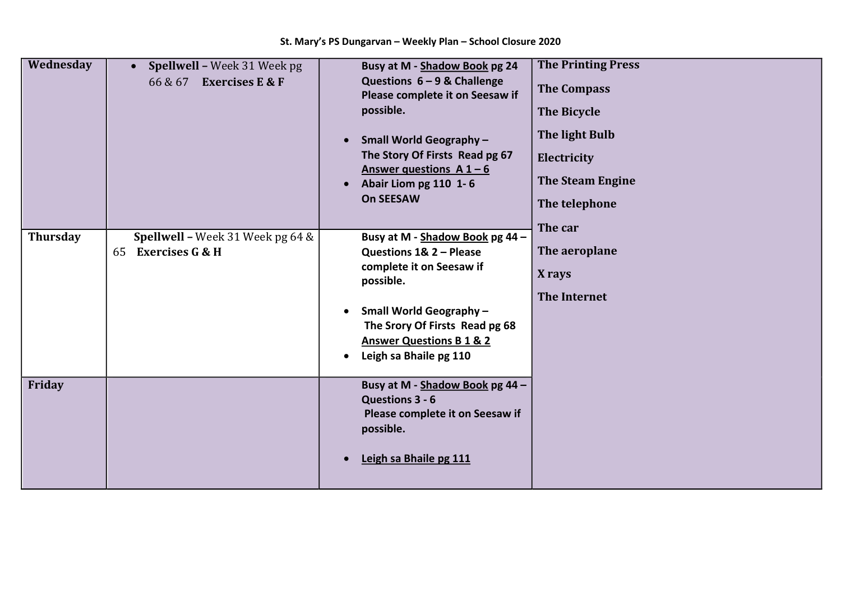| Wednesday       | Spellwell - Week 31 Week pg<br>$\bullet$<br><b>Exercises E &amp; F</b><br>66 & 67 | Busy at M - Shadow Book pg 24<br>Questions $6 - 9$ & Challenge<br>Please complete it on Seesaw if<br>possible.<br><b>Small World Geography-</b><br>$\bullet$<br>The Story Of Firsts Read pg 67<br>Answer questions $A1 - 6$<br>Abair Liom pg 110 1-6<br>$\bullet$ | <b>The Printing Press</b><br><b>The Compass</b><br><b>The Bicycle</b><br>The light Bulb<br>Electricity<br><b>The Steam Engine</b> |
|-----------------|-----------------------------------------------------------------------------------|-------------------------------------------------------------------------------------------------------------------------------------------------------------------------------------------------------------------------------------------------------------------|-----------------------------------------------------------------------------------------------------------------------------------|
|                 |                                                                                   | <b>On SEESAW</b>                                                                                                                                                                                                                                                  | The telephone<br>The car                                                                                                          |
| <b>Thursday</b> | Spellwell - Week 31 Week pg 64 &                                                  | Busy at M - Shadow Book pg 44 -                                                                                                                                                                                                                                   |                                                                                                                                   |
|                 | <b>Exercises G &amp; H</b><br>65                                                  | Questions 1& 2 - Please                                                                                                                                                                                                                                           | The aeroplane                                                                                                                     |
|                 |                                                                                   | complete it on Seesaw if<br>possible.                                                                                                                                                                                                                             | X rays                                                                                                                            |
|                 |                                                                                   |                                                                                                                                                                                                                                                                   | <b>The Internet</b>                                                                                                               |
|                 |                                                                                   | <b>Small World Geography -</b><br>$\bullet$                                                                                                                                                                                                                       |                                                                                                                                   |
|                 |                                                                                   | The Srory Of Firsts Read pg 68                                                                                                                                                                                                                                    |                                                                                                                                   |
|                 |                                                                                   | <b>Answer Questions B 1 &amp; 2</b>                                                                                                                                                                                                                               |                                                                                                                                   |
|                 |                                                                                   | Leigh sa Bhaile pg 110<br>$\bullet$                                                                                                                                                                                                                               |                                                                                                                                   |
| Friday          |                                                                                   | Busy at M - Shadow Book pg 44 -<br>Questions 3 - 6<br>Please complete it on Seesaw if<br>possible.<br>Leigh sa Bhaile pg 111                                                                                                                                      |                                                                                                                                   |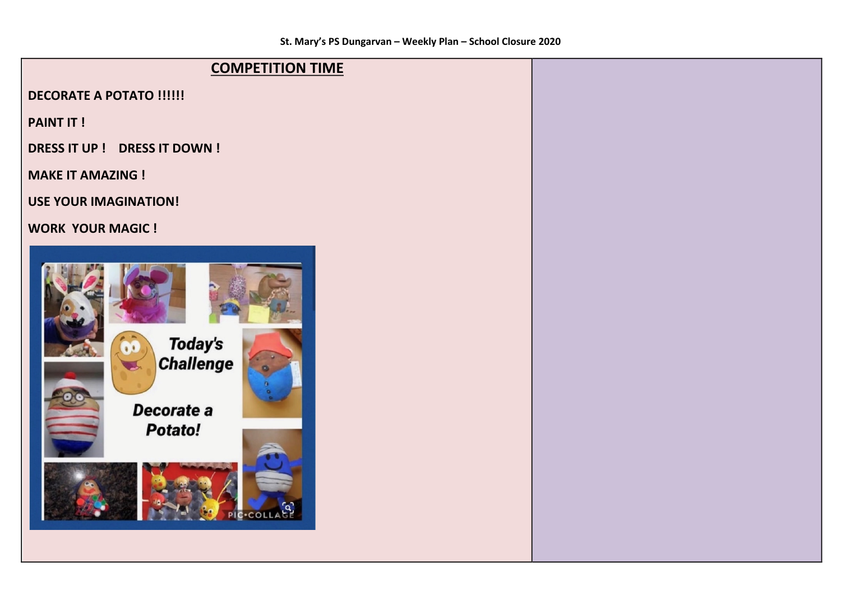## **COMPETITION TIME**

**DECORATE A POTATO !!!!!!** 

**PAINT IT!** 

**DRESS IT UP ! DRESS IT DOWN !** 

**MAKE IT AMAZING!** 

**USE YOUR IMAGINATION!** 

**WORK YOUR MAGIC !**